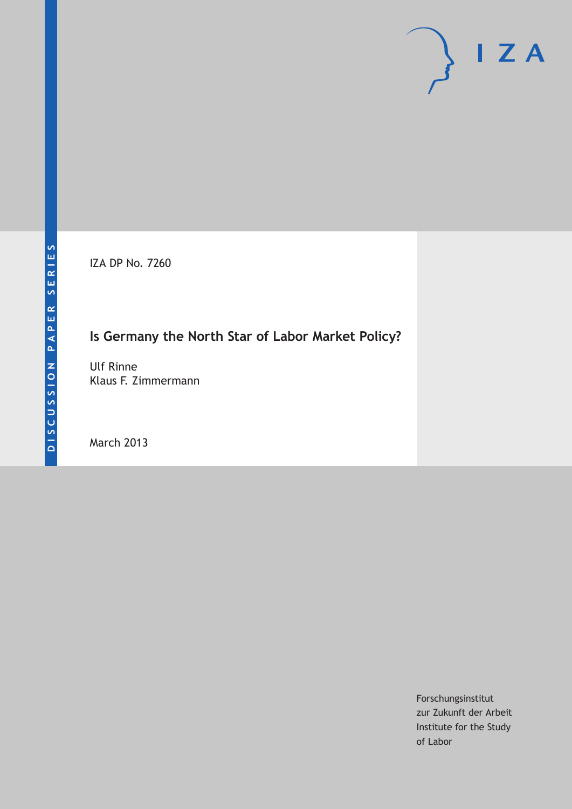IZA DP No. 7260

# **Is Germany the North Star of Labor Market Policy?**

Ulf Rinne Klaus F. Zimmermann

March 2013

Forschungsinstitut zur Zukunft der Arbeit Institute for the Study of Labor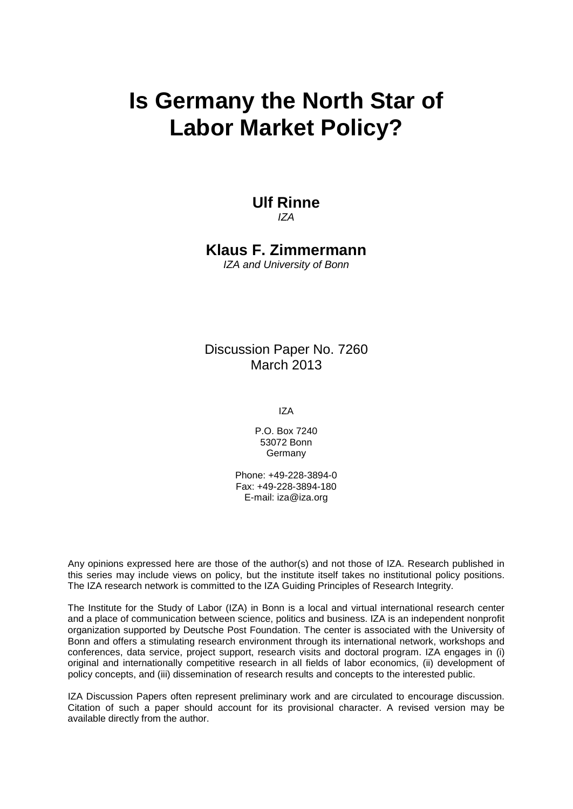# **Is Germany the North Star of Labor Market Policy?**

#### **Ulf Rinne** *IZA*

**Klaus F. Zimmermann**

*IZA and University of Bonn*

Discussion Paper No. 7260 March 2013

IZA

P.O. Box 7240 53072 Bonn **Germany** 

Phone: +49-228-3894-0 Fax: +49-228-3894-180 E-mail: [iza@iza.org](mailto:iza@iza.org)

Any opinions expressed here are those of the author(s) and not those of IZA. Research published in this series may include views on policy, but the institute itself takes no institutional policy positions. The IZA research network is committed to the IZA Guiding Principles of Research Integrity.

The Institute for the Study of Labor (IZA) in Bonn is a local and virtual international research center and a place of communication between science, politics and business. IZA is an independent nonprofit organization supported by Deutsche Post Foundation. The center is associated with the University of Bonn and offers a stimulating research environment through its international network, workshops and conferences, data service, project support, research visits and doctoral program. IZA engages in (i) original and internationally competitive research in all fields of labor economics, (ii) development of policy concepts, and (iii) dissemination of research results and concepts to the interested public.

<span id="page-1-0"></span>IZA Discussion Papers often represent preliminary work and are circulated to encourage discussion. Citation of such a paper should account for its provisional character. A revised version may be available directly from the author.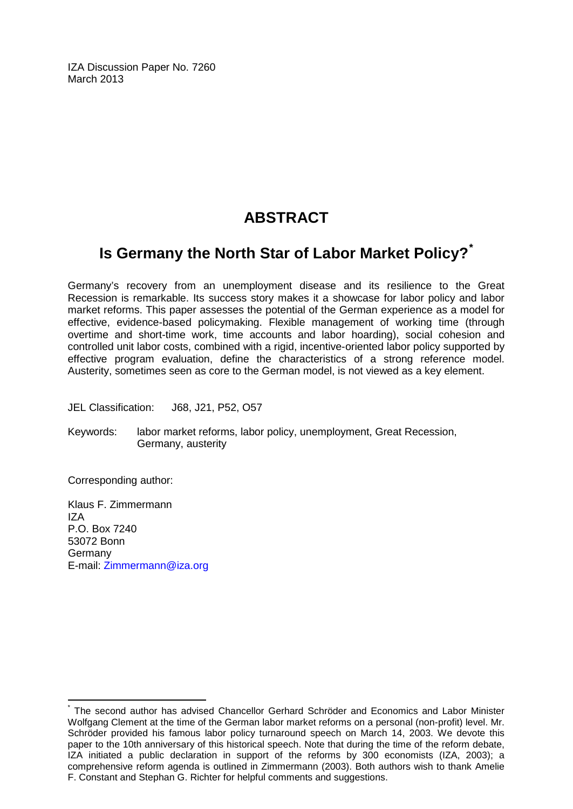IZA Discussion Paper No. 7260 March 2013

# **ABSTRACT**

# **Is Germany the North Star of Labor Market Policy?[\\*](#page-1-0)**

Germany's recovery from an unemployment disease and its resilience to the Great Recession is remarkable. Its success story makes it a showcase for labor policy and labor market reforms. This paper assesses the potential of the German experience as a model for effective, evidence-based policymaking. Flexible management of working time (through overtime and short-time work, time accounts and labor hoarding), social cohesion and controlled unit labor costs, combined with a rigid, incentive-oriented labor policy supported by effective program evaluation, define the characteristics of a strong reference model. Austerity, sometimes seen as core to the German model, is not viewed as a key element.

JEL Classification: J68, J21, P52, O57

Keywords: labor market reforms, labor policy, unemployment, Great Recession, Germany, austerity

Corresponding author:

Klaus F. Zimmermann  $IZ\Delta$ P.O. Box 7240 53072 Bonn Germany E-mail: [Zimmermann@iza.org](mailto:Zimmermann@iza.org)

The second author has advised Chancellor Gerhard Schröder and Economics and Labor Minister Wolfgang Clement at the time of the German labor market reforms on a personal (non-profit) level. Mr. Schröder provided his famous labor policy turnaround speech on March 14, 2003. We devote this paper to the 10th anniversary of this historical speech. Note that during the time of the reform debate, IZA initiated a public declaration in support of the reforms by 300 economists (IZA, 2003); a comprehensive reform agenda is outlined in Zimmermann (2003). Both authors wish to thank Amelie F. Constant and Stephan G. Richter for helpful comments and suggestions.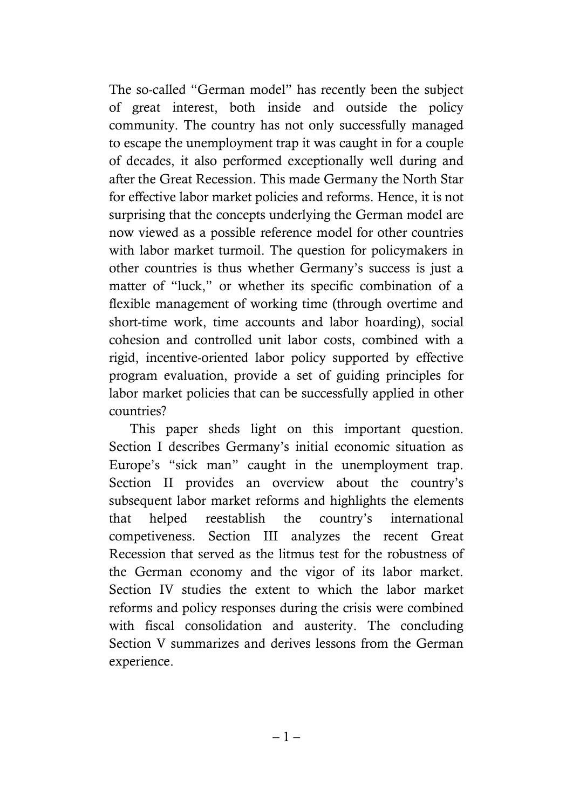The so-called "German model" has recently been the subject of great interest, both inside and outside the policy community. The country has not only successfully managed to escape the unemployment trap it was caught in for a couple of decades, it also performed exceptionally well during and after the Great Recession. This made Germany the North Star for effective labor market policies and reforms. Hence, it is not surprising that the concepts underlying the German model are now viewed as a possible reference model for other countries with labor market turmoil. The question for policymakers in other countries is thus whether Germany's success is just a matter of "luck," or whether its specific combination of a flexible management of working time (through overtime and short-time work, time accounts and labor hoarding), social cohesion and controlled unit labor costs, combined with a rigid, incentive-oriented labor policy supported by effective program evaluation, provide a set of guiding principles for labor market policies that can be successfully applied in other countries?

This paper sheds light on this important question. Section I describes Germany's initial economic situation as Europe's "sick man" caught in the unemployment trap. Section II provides an overview about the country's subsequent labor market reforms and highlights the elements that helped reestablish the country's international competiveness. Section III analyzes the recent Great Recession that served as the litmus test for the robustness of the German economy and the vigor of its labor market. Section IV studies the extent to which the labor market reforms and policy responses during the crisis were combined with fiscal consolidation and austerity. The concluding Section V summarizes and derives lessons from the German experience.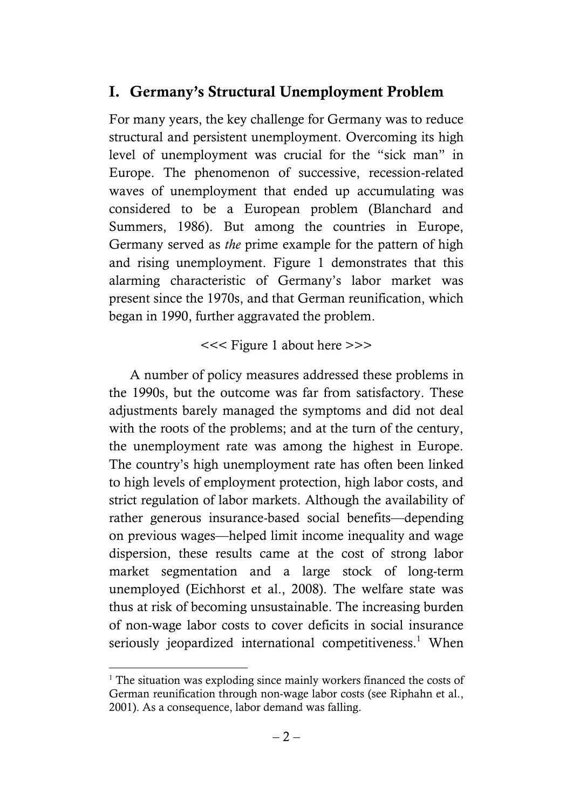# **I. Germany's Structural Unemployment Problem**

For many years, the key challenge for Germany was to reduce structural and persistent unemployment. Overcoming its high level of unemployment was crucial for the "sick man" in Europe. The phenomenon of successive, recession-related waves of unemployment that ended up accumulating was considered to be a European problem (Blanchard and Summers, 1986). But among the countries in Europe, Germany served as *the* prime example for the pattern of high and rising unemployment. Figure 1 demonstrates that this alarming characteristic of Germany's labor market was present since the 1970s, and that German reunification, which began in 1990, further aggravated the problem.

# <<< Figure 1 about here >>>

A number of policy measures addressed these problems in the 1990s, but the outcome was far from satisfactory. These adjustments barely managed the symptoms and did not deal with the roots of the problems; and at the turn of the century, the unemployment rate was among the highest in Europe. The country's high unemployment rate has often been linked to high levels of employment protection, high labor costs, and strict regulation of labor markets. Although the availability of rather generous insurance-based social benefits—depending on previous wages—helped limit income inequality and wage dispersion, these results came at the cost of strong labor market segmentation and a large stock of long-term unemployed (Eichhorst et al., 2008). The welfare state was thus at risk of becoming unsustainable. The increasing burden of non-wage labor costs to cover deficits in social insurance seriously jeopardized international competitiveness.<sup>1</sup> When

 $\overline{a}$ <sup>1</sup> The situation was exploding since mainly workers financed the costs of German reunification through non-wage labor costs (see Riphahn et al., 2001). As a consequence, labor demand was falling.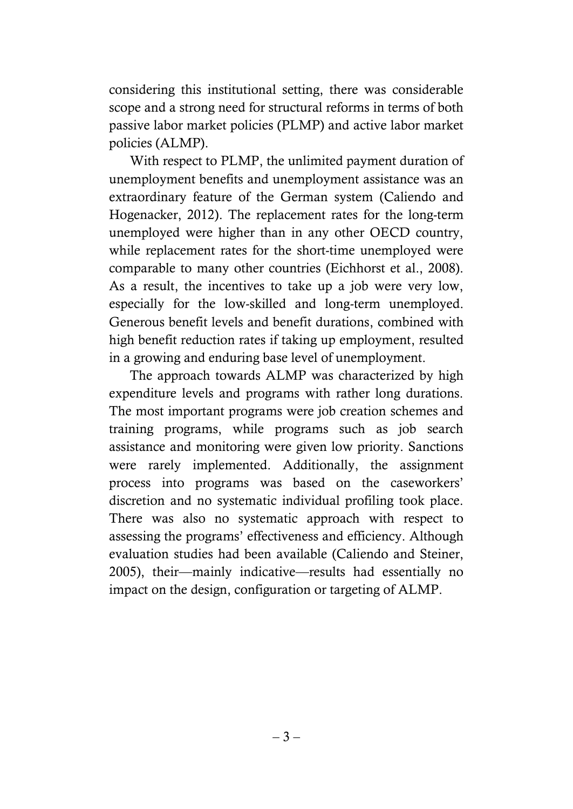considering this institutional setting, there was considerable scope and a strong need for structural reforms in terms of both passive labor market policies (PLMP) and active labor market policies (ALMP).

With respect to PLMP, the unlimited payment duration of unemployment benefits and unemployment assistance was an extraordinary feature of the German system (Caliendo and Hogenacker, 2012). The replacement rates for the long-term unemployed were higher than in any other OECD country, while replacement rates for the short-time unemployed were comparable to many other countries (Eichhorst et al., 2008). As a result, the incentives to take up a job were very low, especially for the low-skilled and long-term unemployed. Generous benefit levels and benefit durations, combined with high benefit reduction rates if taking up employment, resulted in a growing and enduring base level of unemployment.

The approach towards ALMP was characterized by high expenditure levels and programs with rather long durations. The most important programs were job creation schemes and training programs, while programs such as job search assistance and monitoring were given low priority. Sanctions were rarely implemented. Additionally, the assignment process into programs was based on the caseworkers' discretion and no systematic individual profiling took place. There was also no systematic approach with respect to assessing the programs' effectiveness and efficiency. Although evaluation studies had been available (Caliendo and Steiner, 2005), their—mainly indicative—results had essentially no impact on the design, configuration or targeting of ALMP.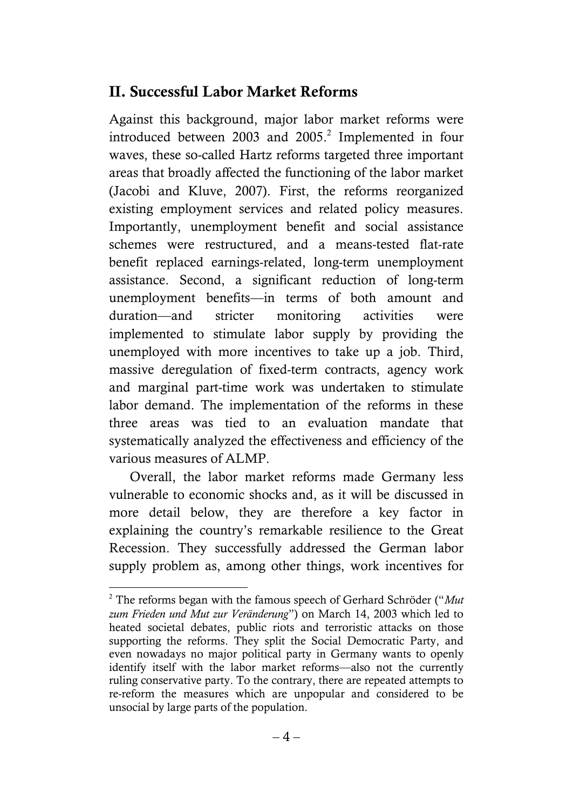# **II. Successful Labor Market Reforms**

Against this background, major labor market reforms were introduced between 2003 and  $2005.<sup>2</sup>$  Implemented in four waves, these so-called Hartz reforms targeted three important areas that broadly affected the functioning of the labor market (Jacobi and Kluve, 2007). First, the reforms reorganized existing employment services and related policy measures. Importantly, unemployment benefit and social assistance schemes were restructured, and a means-tested flat-rate benefit replaced earnings-related, long-term unemployment assistance. Second, a significant reduction of long-term unemployment benefits—in terms of both amount and duration—and stricter monitoring activities were implemented to stimulate labor supply by providing the unemployed with more incentives to take up a job. Third, massive deregulation of fixed-term contracts, agency work and marginal part-time work was undertaken to stimulate labor demand. The implementation of the reforms in these three areas was tied to an evaluation mandate that systematically analyzed the effectiveness and efficiency of the various measures of ALMP.

Overall, the labor market reforms made Germany less vulnerable to economic shocks and, as it will be discussed in more detail below, they are therefore a key factor in explaining the country's remarkable resilience to the Great Recession. They successfully addressed the German labor supply problem as, among other things, work incentives for

 $\overline{a}$ 

 $2^2$  The reforms began with the famous speech of Gerhard Schröder ( $4$ *Mut*) zum Frieden und Mut zur Veränderung") on March 14, 2003 which led to heated societal debates, public riots and terroristic attacks on those supporting the reforms. They split the Social Democratic Party, and even nowadays no major political party in Germany wants to openly identify itself with the labor market reforms—also not the currently ruling conservative party. To the contrary, there are repeated attempts to re-reform the measures which are unpopular and considered to be unsocial by large parts of the population.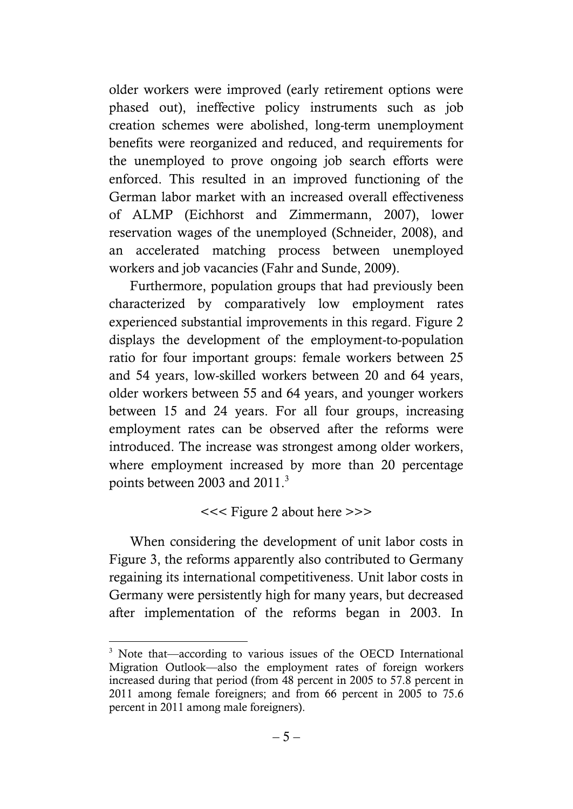older workers were improved (early retirement options were phased out), ineffective policy instruments such as job creation schemes were abolished, long-term unemployment benefits were reorganized and reduced, and requirements for the unemployed to prove ongoing job search efforts were enforced. This resulted in an improved functioning of the German labor market with an increased overall effectiveness of ALMP (Eichhorst and Zimmermann, 2007), lower reservation wages of the unemployed (Schneider, 2008), and an accelerated matching process between unemployed workers and job vacancies (Fahr and Sunde, 2009).

Furthermore, population groups that had previously been characterized by comparatively low employment rates experienced substantial improvements in this regard. Figure 2 displays the development of the employment-to-population ratio for four important groups: female workers between 25 and 54 years, low-skilled workers between 20 and 64 years, older workers between 55 and 64 years, and younger workers between 15 and 24 years. For all four groups, increasing employment rates can be observed after the reforms were introduced. The increase was strongest among older workers, where employment increased by more than 20 percentage points between 2003 and 2011. $3$ 

# <<< Figure 2 about here >>>

When considering the development of unit labor costs in Figure 3, the reforms apparently also contributed to Germany regaining its international competitiveness. Unit labor costs in Germany were persistently high for many years, but decreased after implementation of the reforms began in 2003. In

 $\overline{a}$ <sup>3</sup> Note that—according to various issues of the OECD International Migration Outlook—also the employment rates of foreign workers increased during that period (from 48 percent in 2005 to 57.8 percent in 2011 among female foreigners; and from 66 percent in 2005 to 75.6 percent in 2011 among male foreigners).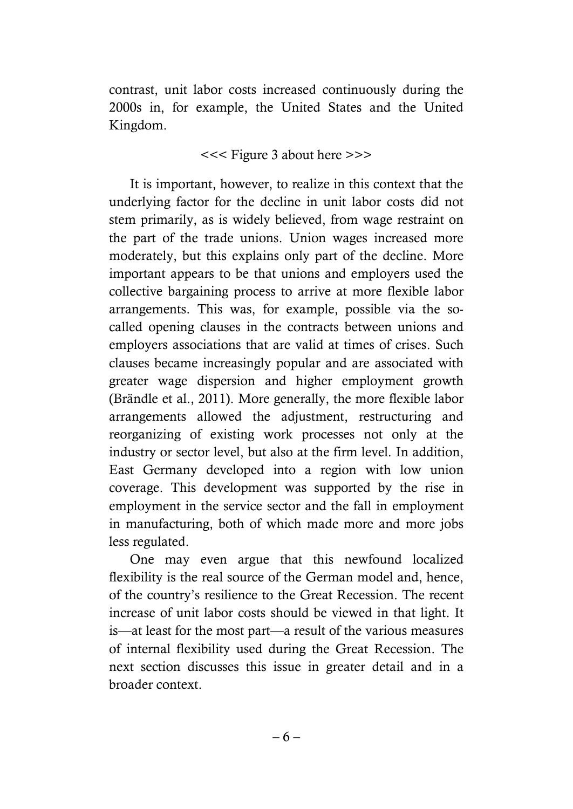contrast, unit labor costs increased continuously during the 2000s in, for example, the United States and the United Kingdom.

<<< Figure 3 about here >>>

It is important, however, to realize in this context that the underlying factor for the decline in unit labor costs did not stem primarily, as is widely believed, from wage restraint on the part of the trade unions. Union wages increased more moderately, but this explains only part of the decline. More important appears to be that unions and employers used the collective bargaining process to arrive at more flexible labor arrangements. This was, for example, possible via the socalled opening clauses in the contracts between unions and employers associations that are valid at times of crises. Such clauses became increasingly popular and are associated with greater wage dispersion and higher employment growth (Brändle et al., 2011). More generally, the more flexible labor arrangements allowed the adjustment, restructuring and reorganizing of existing work processes not only at the industry or sector level, but also at the firm level. In addition, East Germany developed into a region with low union coverage. This development was supported by the rise in employment in the service sector and the fall in employment in manufacturing, both of which made more and more jobs less regulated.

One may even argue that this newfound localized flexibility is the real source of the German model and, hence, of the country's resilience to the Great Recession. The recent increase of unit labor costs should be viewed in that light. It is—at least for the most part—a result of the various measures of internal flexibility used during the Great Recession. The next section discusses this issue in greater detail and in a broader context.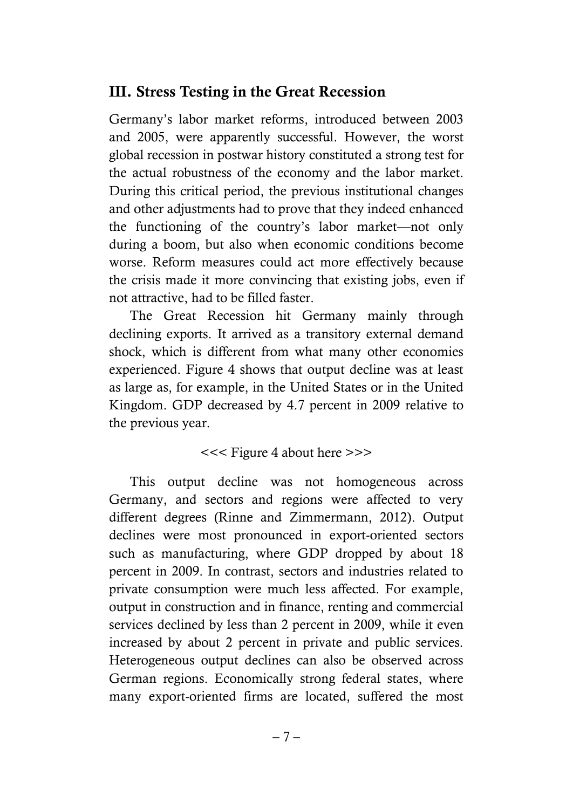# **III. Stress Testing in the Great Recession**

Germany's labor market reforms, introduced between 2003 and 2005, were apparently successful. However, the worst global recession in postwar history constituted a strong test for the actual robustness of the economy and the labor market. During this critical period, the previous institutional changes and other adjustments had to prove that they indeed enhanced the functioning of the country's labor market—not only during a boom, but also when economic conditions become worse. Reform measures could act more effectively because the crisis made it more convincing that existing jobs, even if not attractive, had to be filled faster.

The Great Recession hit Germany mainly through declining exports. It arrived as a transitory external demand shock, which is different from what many other economies experienced. Figure 4 shows that output decline was at least as large as, for example, in the United States or in the United Kingdom. GDP decreased by 4.7 percent in 2009 relative to the previous year.

# <<< Figure 4 about here >>>

This output decline was not homogeneous across Germany, and sectors and regions were affected to very different degrees (Rinne and Zimmermann, 2012). Output declines were most pronounced in export-oriented sectors such as manufacturing, where GDP dropped by about 18 percent in 2009. In contrast, sectors and industries related to private consumption were much less affected. For example, output in construction and in finance, renting and commercial services declined by less than 2 percent in 2009, while it even increased by about 2 percent in private and public services. Heterogeneous output declines can also be observed across German regions. Economically strong federal states, where many export-oriented firms are located, suffered the most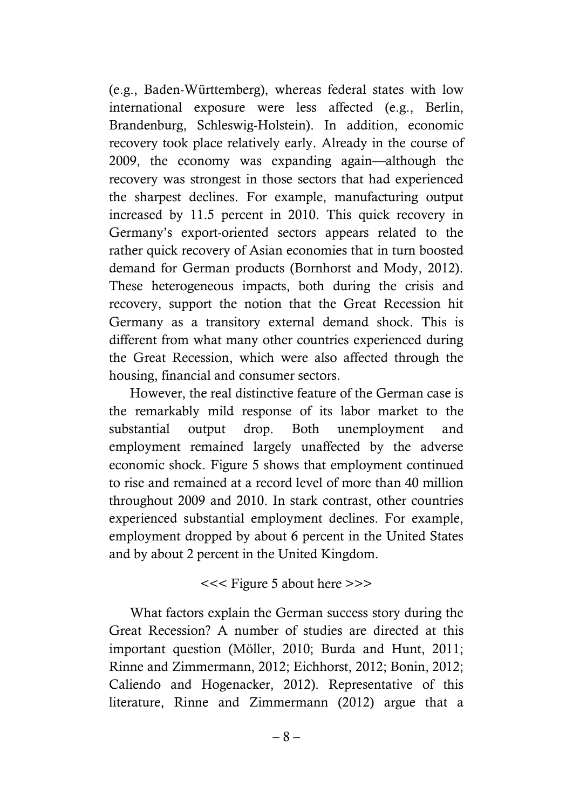(e.g., Baden-Württemberg), whereas federal states with low international exposure were less affected (e.g., Berlin, Brandenburg, Schleswig-Holstein). In addition, economic recovery took place relatively early. Already in the course of 2009, the economy was expanding again—although the recovery was strongest in those sectors that had experienced the sharpest declines. For example, manufacturing output increased by 11.5 percent in 2010. This quick recovery in Germany's export-oriented sectors appears related to the rather quick recovery of Asian economies that in turn boosted demand for German products (Bornhorst and Mody, 2012). These heterogeneous impacts, both during the crisis and recovery, support the notion that the Great Recession hit Germany as a transitory external demand shock. This is different from what many other countries experienced during the Great Recession, which were also affected through the housing, financial and consumer sectors.

However, the real distinctive feature of the German case is the remarkably mild response of its labor market to the substantial output drop. Both unemployment and employment remained largely unaffected by the adverse economic shock. Figure 5 shows that employment continued to rise and remained at a record level of more than 40 million throughout 2009 and 2010. In stark contrast, other countries experienced substantial employment declines. For example, employment dropped by about 6 percent in the United States and by about 2 percent in the United Kingdom.

#### <<< Figure 5 about here >>>

What factors explain the German success story during the Great Recession? A number of studies are directed at this important question (Möller, 2010; Burda and Hunt, 2011; Rinne and Zimmermann, 2012; Eichhorst, 2012; Bonin, 2012; Caliendo and Hogenacker, 2012). Representative of this literature, Rinne and Zimmermann (2012) argue that a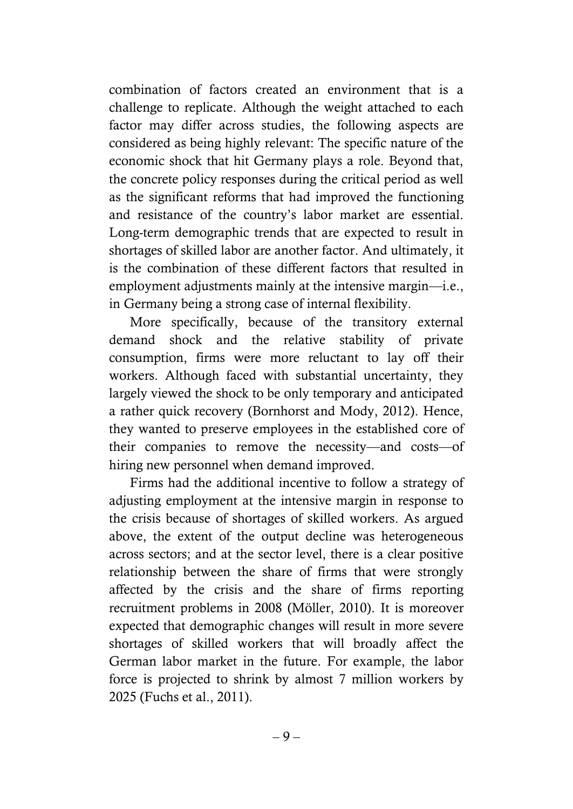combination of factors created an environment that is a challenge to replicate. Although the weight attached to each factor may differ across studies, the following aspects are considered as being highly relevant: The specific nature of the economic shock that hit Germany plays a role. Beyond that, the concrete policy responses during the critical period as well as the significant reforms that had improved the functioning and resistance of the country's labor market are essential. Long-term demographic trends that are expected to result in shortages of skilled labor are another factor. And ultimately, it is the combination of these different factors that resulted in employment adjustments mainly at the intensive margin—i.e., in Germany being a strong case of internal flexibility.

More specifically, because of the transitory external demand shock and the relative stability of private consumption, firms were more reluctant to lay off their workers. Although faced with substantial uncertainty, they largely viewed the shock to be only temporary and anticipated a rather quick recovery (Bornhorst and Mody, 2012). Hence, they wanted to preserve employees in the established core of their companies to remove the necessity—and costs—of hiring new personnel when demand improved.

Firms had the additional incentive to follow a strategy of adjusting employment at the intensive margin in response to the crisis because of shortages of skilled workers. As argued above, the extent of the output decline was heterogeneous across sectors; and at the sector level, there is a clear positive relationship between the share of firms that were strongly affected by the crisis and the share of firms reporting recruitment problems in 2008 (Möller, 2010). It is moreover expected that demographic changes will result in more severe shortages of skilled workers that will broadly affect the German labor market in the future. For example, the labor force is projected to shrink by almost 7 million workers by 2025 (Fuchs et al., 2011).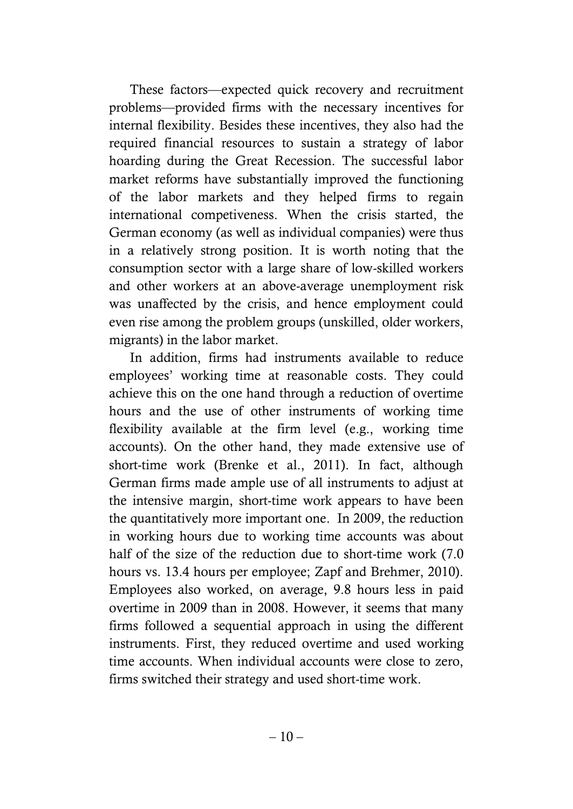These factors—expected quick recovery and recruitment problems—provided firms with the necessary incentives for internal flexibility. Besides these incentives, they also had the required financial resources to sustain a strategy of labor hoarding during the Great Recession. The successful labor market reforms have substantially improved the functioning of the labor markets and they helped firms to regain international competiveness. When the crisis started, the German economy (as well as individual companies) were thus in a relatively strong position. It is worth noting that the consumption sector with a large share of low-skilled workers and other workers at an above-average unemployment risk was unaffected by the crisis, and hence employment could even rise among the problem groups (unskilled, older workers, migrants) in the labor market.

In addition, firms had instruments available to reduce employees' working time at reasonable costs. They could achieve this on the one hand through a reduction of overtime hours and the use of other instruments of working time flexibility available at the firm level (e.g., working time accounts). On the other hand, they made extensive use of short-time work (Brenke et al., 2011). In fact, although German firms made ample use of all instruments to adjust at the intensive margin, short-time work appears to have been the quantitatively more important one. In 2009, the reduction in working hours due to working time accounts was about half of the size of the reduction due to short-time work (7.0) hours vs. 13.4 hours per employee; Zapf and Brehmer, 2010). Employees also worked, on average, 9.8 hours less in paid overtime in 2009 than in 2008. However, it seems that many firms followed a sequential approach in using the different instruments. First, they reduced overtime and used working time accounts. When individual accounts were close to zero, firms switched their strategy and used short-time work.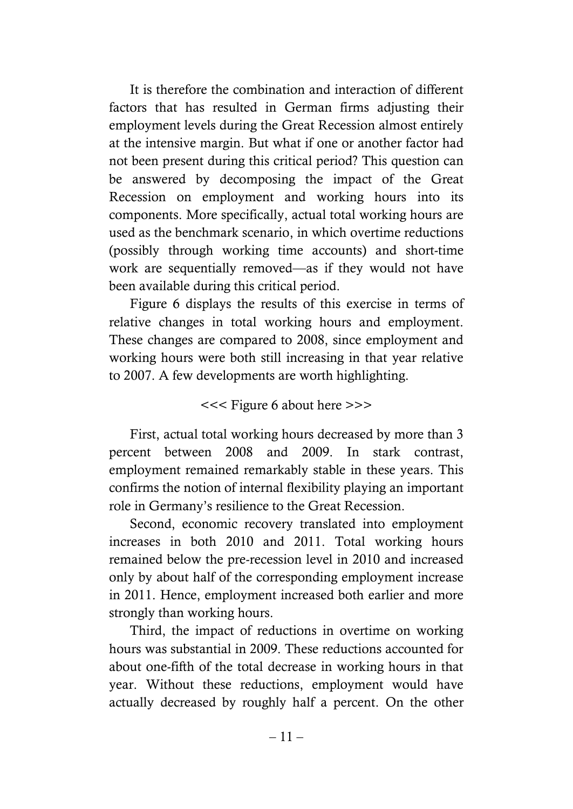It is therefore the combination and interaction of different factors that has resulted in German firms adjusting their employment levels during the Great Recession almost entirely at the intensive margin. But what if one or another factor had not been present during this critical period? This question can be answered by decomposing the impact of the Great Recession on employment and working hours into its components. More specifically, actual total working hours are used as the benchmark scenario, in which overtime reductions (possibly through working time accounts) and short-time work are sequentially removed—as if they would not have been available during this critical period.

Figure 6 displays the results of this exercise in terms of relative changes in total working hours and employment. These changes are compared to 2008, since employment and working hours were both still increasing in that year relative to 2007. A few developments are worth highlighting.

### <<< Figure 6 about here >>>

First, actual total working hours decreased by more than 3 percent between 2008 and 2009. In stark contrast, employment remained remarkably stable in these years. This confirms the notion of internal flexibility playing an important role in Germany's resilience to the Great Recession.

Second, economic recovery translated into employment increases in both 2010 and 2011. Total working hours remained below the pre-recession level in 2010 and increased only by about half of the corresponding employment increase in 2011. Hence, employment increased both earlier and more strongly than working hours.

Third, the impact of reductions in overtime on working hours was substantial in 2009. These reductions accounted for about one-fifth of the total decrease in working hours in that year. Without these reductions, employment would have actually decreased by roughly half a percent. On the other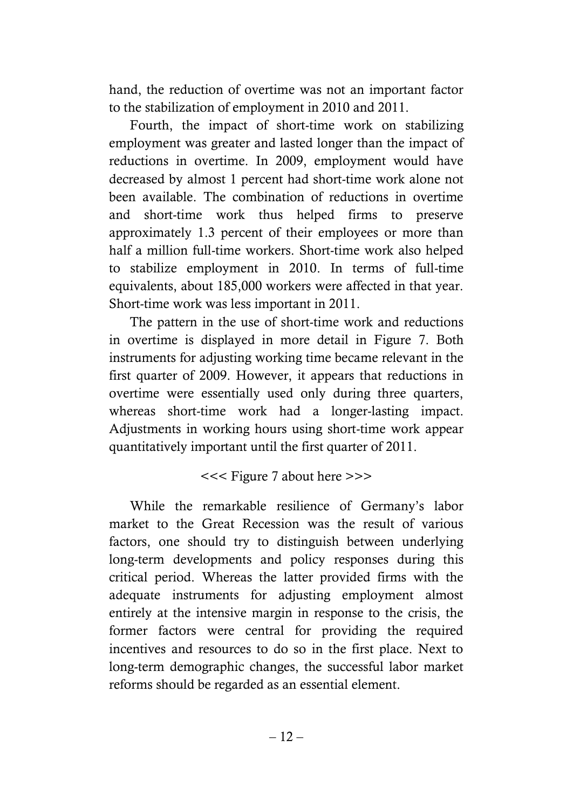hand, the reduction of overtime was not an important factor to the stabilization of employment in 2010 and 2011.

Fourth, the impact of short-time work on stabilizing employment was greater and lasted longer than the impact of reductions in overtime. In 2009, employment would have decreased by almost 1 percent had short-time work alone not been available. The combination of reductions in overtime and short-time work thus helped firms to preserve approximately 1.3 percent of their employees or more than half a million full-time workers. Short-time work also helped to stabilize employment in 2010. In terms of full-time equivalents, about 185,000 workers were affected in that year. Short-time work was less important in 2011.

The pattern in the use of short-time work and reductions in overtime is displayed in more detail in Figure 7. Both instruments for adjusting working time became relevant in the first quarter of 2009. However, it appears that reductions in overtime were essentially used only during three quarters, whereas short-time work had a longer-lasting impact. Adjustments in working hours using short-time work appear quantitatively important until the first quarter of 2011.

# <<< Figure 7 about here >>>

While the remarkable resilience of Germany's labor market to the Great Recession was the result of various factors, one should try to distinguish between underlying long-term developments and policy responses during this critical period. Whereas the latter provided firms with the adequate instruments for adjusting employment almost entirely at the intensive margin in response to the crisis, the former factors were central for providing the required incentives and resources to do so in the first place. Next to long-term demographic changes, the successful labor market reforms should be regarded as an essential element.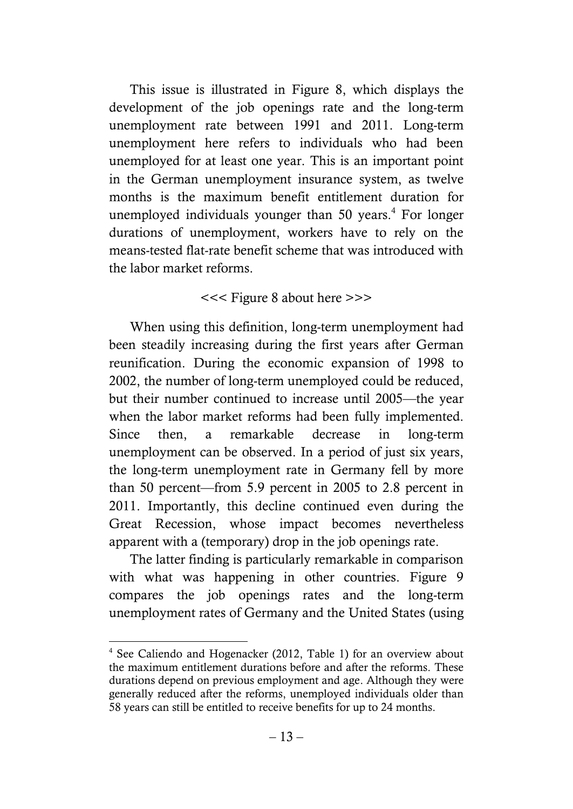This issue is illustrated in Figure 8, which displays the development of the job openings rate and the long-term unemployment rate between 1991 and 2011. Long-term unemployment here refers to individuals who had been unemployed for at least one year. This is an important point in the German unemployment insurance system, as twelve months is the maximum benefit entitlement duration for unemployed individuals younger than 50 years.<sup>4</sup> For longer durations of unemployment, workers have to rely on the means-tested flat-rate benefit scheme that was introduced with the labor market reforms.

# <<< Figure 8 about here >>>

When using this definition, long-term unemployment had been steadily increasing during the first years after German reunification. During the economic expansion of 1998 to 2002, the number of long-term unemployed could be reduced, but their number continued to increase until 2005—the year when the labor market reforms had been fully implemented. Since then, a remarkable decrease in long-term unemployment can be observed. In a period of just six years, the long-term unemployment rate in Germany fell by more than 50 percent—from 5.9 percent in 2005 to 2.8 percent in 2011. Importantly, this decline continued even during the Great Recession, whose impact becomes nevertheless apparent with a (temporary) drop in the job openings rate.

The latter finding is particularly remarkable in comparison with what was happening in other countries. Figure 9 compares the job openings rates and the long-term unemployment rates of Germany and the United States (using

 $\overline{a}$ 

<sup>4</sup> See Caliendo and Hogenacker (2012, Table 1) for an overview about the maximum entitlement durations before and after the reforms. These durations depend on previous employment and age. Although they were generally reduced after the reforms, unemployed individuals older than 58 years can still be entitled to receive benefits for up to 24 months.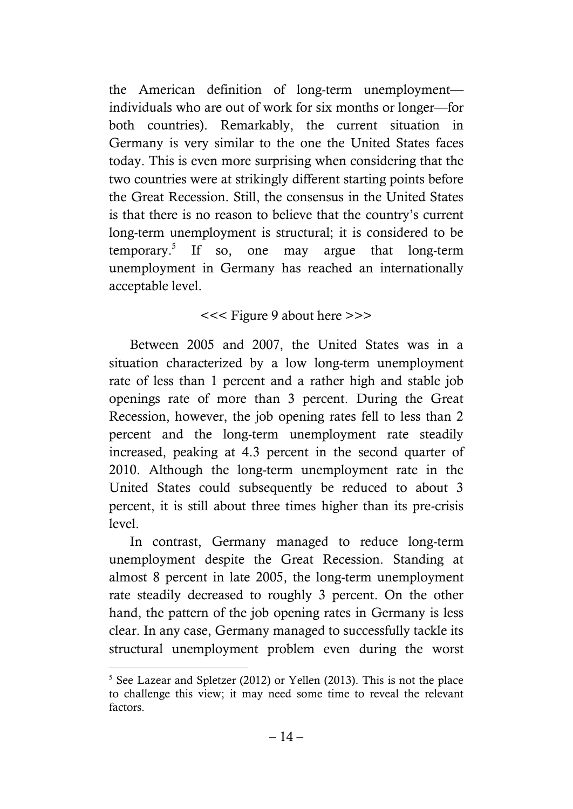the American definition of long-term unemployment individuals who are out of work for six months or longer—for both countries). Remarkably, the current situation in Germany is very similar to the one the United States faces today. This is even more surprising when considering that the two countries were at strikingly different starting points before the Great Recession. Still, the consensus in the United States is that there is no reason to believe that the country's current long-term unemployment is structural; it is considered to be temporary.<sup>5</sup> If so, one may argue that long-term unemployment in Germany has reached an internationally acceptable level.

# <<< Figure 9 about here >>>

Between 2005 and 2007, the United States was in a situation characterized by a low long-term unemployment rate of less than 1 percent and a rather high and stable job openings rate of more than 3 percent. During the Great Recession, however, the job opening rates fell to less than 2 percent and the long-term unemployment rate steadily increased, peaking at 4.3 percent in the second quarter of 2010. Although the long-term unemployment rate in the United States could subsequently be reduced to about 3 percent, it is still about three times higher than its pre-crisis level.

In contrast, Germany managed to reduce long-term unemployment despite the Great Recession. Standing at almost 8 percent in late 2005, the long-term unemployment rate steadily decreased to roughly 3 percent. On the other hand, the pattern of the job opening rates in Germany is less clear. In any case, Germany managed to successfully tackle its structural unemployment problem even during the worst

 $\overline{a}$ 

<sup>&</sup>lt;sup>5</sup> See Lazear and Spletzer (2012) or Yellen (2013). This is not the place to challenge this view; it may need some time to reveal the relevant factors.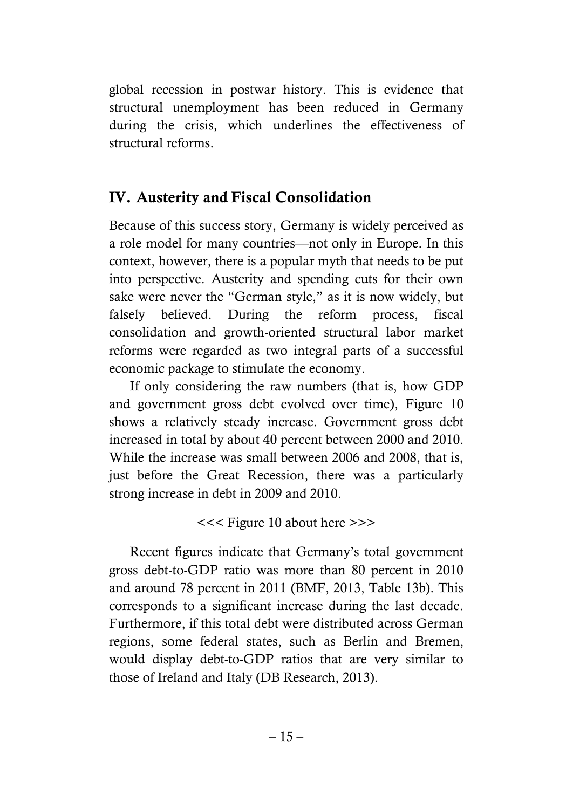global recession in postwar history. This is evidence that structural unemployment has been reduced in Germany during the crisis, which underlines the effectiveness of structural reforms.

# **IV. Austerity and Fiscal Consolidation**

Because of this success story, Germany is widely perceived as a role model for many countries—not only in Europe. In this context, however, there is a popular myth that needs to be put into perspective. Austerity and spending cuts for their own sake were never the "German style," as it is now widely, but falsely believed. During the reform process, fiscal consolidation and growth-oriented structural labor market reforms were regarded as two integral parts of a successful economic package to stimulate the economy.

If only considering the raw numbers (that is, how GDP and government gross debt evolved over time), Figure 10 shows a relatively steady increase. Government gross debt increased in total by about 40 percent between 2000 and 2010. While the increase was small between 2006 and 2008, that is, just before the Great Recession, there was a particularly strong increase in debt in 2009 and 2010.

<<< Figure 10 about here >>>

Recent figures indicate that Germany's total government gross debt-to-GDP ratio was more than 80 percent in 2010 and around 78 percent in 2011 (BMF, 2013, Table 13b). This corresponds to a significant increase during the last decade. Furthermore, if this total debt were distributed across German regions, some federal states, such as Berlin and Bremen, would display debt-to-GDP ratios that are very similar to those of Ireland and Italy (DB Research, 2013).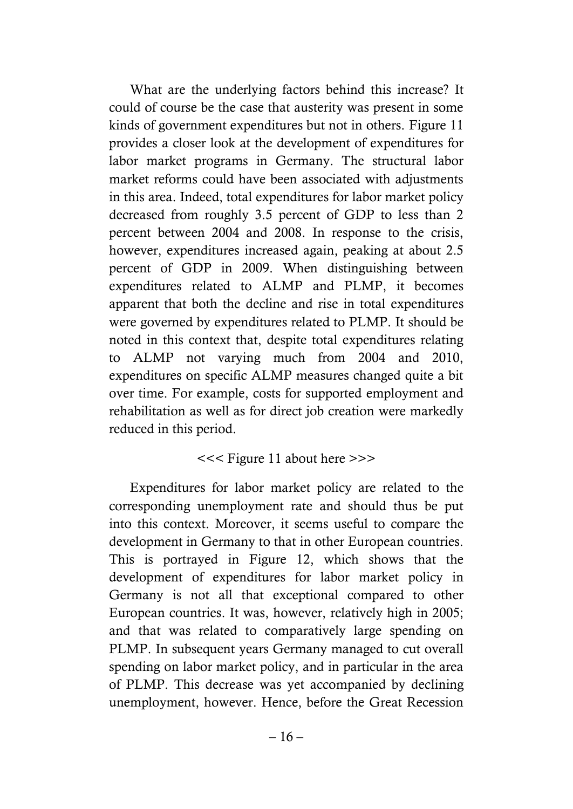What are the underlying factors behind this increase? It could of course be the case that austerity was present in some kinds of government expenditures but not in others. Figure 11 provides a closer look at the development of expenditures for labor market programs in Germany. The structural labor market reforms could have been associated with adjustments in this area. Indeed, total expenditures for labor market policy decreased from roughly 3.5 percent of GDP to less than 2 percent between 2004 and 2008. In response to the crisis, however, expenditures increased again, peaking at about 2.5 percent of GDP in 2009. When distinguishing between expenditures related to ALMP and PLMP, it becomes apparent that both the decline and rise in total expenditures were governed by expenditures related to PLMP. It should be noted in this context that, despite total expenditures relating to ALMP not varying much from 2004 and 2010, expenditures on specific ALMP measures changed quite a bit over time. For example, costs for supported employment and rehabilitation as well as for direct job creation were markedly reduced in this period.

# <<< Figure 11 about here >>>

Expenditures for labor market policy are related to the corresponding unemployment rate and should thus be put into this context. Moreover, it seems useful to compare the development in Germany to that in other European countries. This is portrayed in Figure 12, which shows that the development of expenditures for labor market policy in Germany is not all that exceptional compared to other European countries. It was, however, relatively high in 2005; and that was related to comparatively large spending on PLMP. In subsequent years Germany managed to cut overall spending on labor market policy, and in particular in the area of PLMP. This decrease was yet accompanied by declining unemployment, however. Hence, before the Great Recession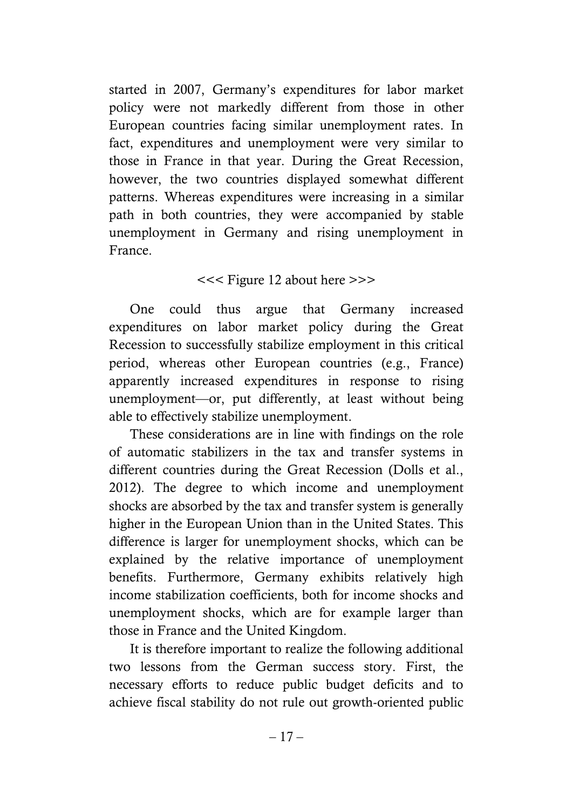started in 2007, Germany's expenditures for labor market policy were not markedly different from those in other European countries facing similar unemployment rates. In fact, expenditures and unemployment were very similar to those in France in that year. During the Great Recession, however, the two countries displayed somewhat different patterns. Whereas expenditures were increasing in a similar path in both countries, they were accompanied by stable unemployment in Germany and rising unemployment in France.

# <<< Figure 12 about here >>>

One could thus argue that Germany increased expenditures on labor market policy during the Great Recession to successfully stabilize employment in this critical period, whereas other European countries (e.g., France) apparently increased expenditures in response to rising unemployment—or, put differently, at least without being able to effectively stabilize unemployment.

These considerations are in line with findings on the role of automatic stabilizers in the tax and transfer systems in different countries during the Great Recession (Dolls et al., 2012). The degree to which income and unemployment shocks are absorbed by the tax and transfer system is generally higher in the European Union than in the United States. This difference is larger for unemployment shocks, which can be explained by the relative importance of unemployment benefits. Furthermore, Germany exhibits relatively high income stabilization coefficients, both for income shocks and unemployment shocks, which are for example larger than those in France and the United Kingdom.

It is therefore important to realize the following additional two lessons from the German success story. First, the necessary efforts to reduce public budget deficits and to achieve fiscal stability do not rule out growth-oriented public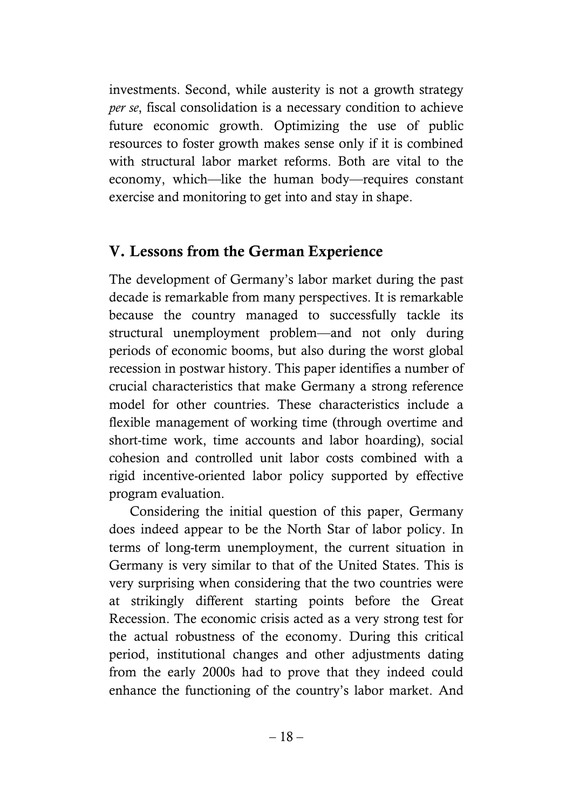investments. Second, while austerity is not a growth strategy *per se*, fiscal consolidation is a necessary condition to achieve future economic growth. Optimizing the use of public resources to foster growth makes sense only if it is combined with structural labor market reforms. Both are vital to the economy, which—like the human body—requires constant exercise and monitoring to get into and stay in shape.

# **V. Lessons from the German Experience**

The development of Germany's labor market during the past decade is remarkable from many perspectives. It is remarkable because the country managed to successfully tackle its structural unemployment problem—and not only during periods of economic booms, but also during the worst global recession in postwar history. This paper identifies a number of crucial characteristics that make Germany a strong reference model for other countries. These characteristics include a flexible management of working time (through overtime and short-time work, time accounts and labor hoarding), social cohesion and controlled unit labor costs combined with a rigid incentive-oriented labor policy supported by effective program evaluation.

Considering the initial question of this paper, Germany does indeed appear to be the North Star of labor policy. In terms of long-term unemployment, the current situation in Germany is very similar to that of the United States. This is very surprising when considering that the two countries were at strikingly different starting points before the Great Recession. The economic crisis acted as a very strong test for the actual robustness of the economy. During this critical period, institutional changes and other adjustments dating from the early 2000s had to prove that they indeed could enhance the functioning of the country's labor market. And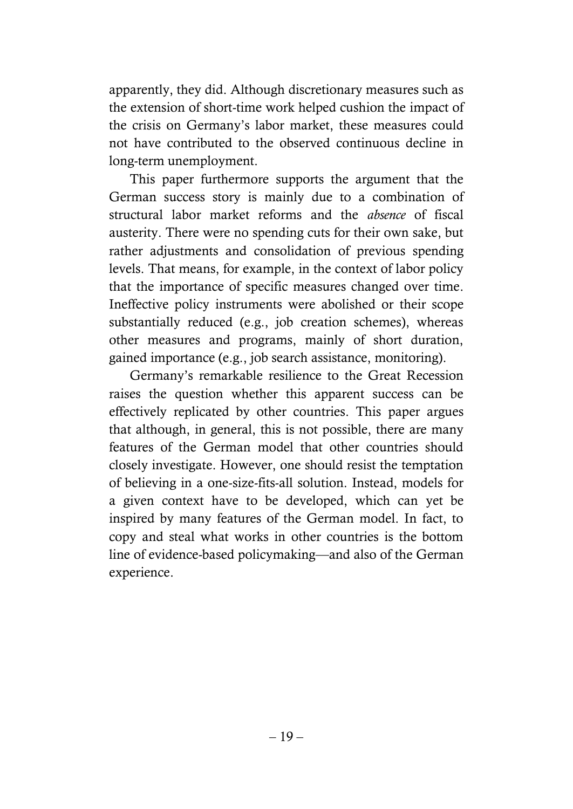apparently, they did. Although discretionary measures such as the extension of short-time work helped cushion the impact of the crisis on Germany's labor market, these measures could not have contributed to the observed continuous decline in long-term unemployment.

This paper furthermore supports the argument that the German success story is mainly due to a combination of structural labor market reforms and the *absence* of fiscal austerity. There were no spending cuts for their own sake, but rather adjustments and consolidation of previous spending levels. That means, for example, in the context of labor policy that the importance of specific measures changed over time. Ineffective policy instruments were abolished or their scope substantially reduced (e.g., job creation schemes), whereas other measures and programs, mainly of short duration, gained importance (e.g., job search assistance, monitoring).

Germany's remarkable resilience to the Great Recession raises the question whether this apparent success can be effectively replicated by other countries. This paper argues that although, in general, this is not possible, there are many features of the German model that other countries should closely investigate. However, one should resist the temptation of believing in a one-size-fits-all solution. Instead, models for a given context have to be developed, which can yet be inspired by many features of the German model. In fact, to copy and steal what works in other countries is the bottom line of evidence-based policymaking—and also of the German experience.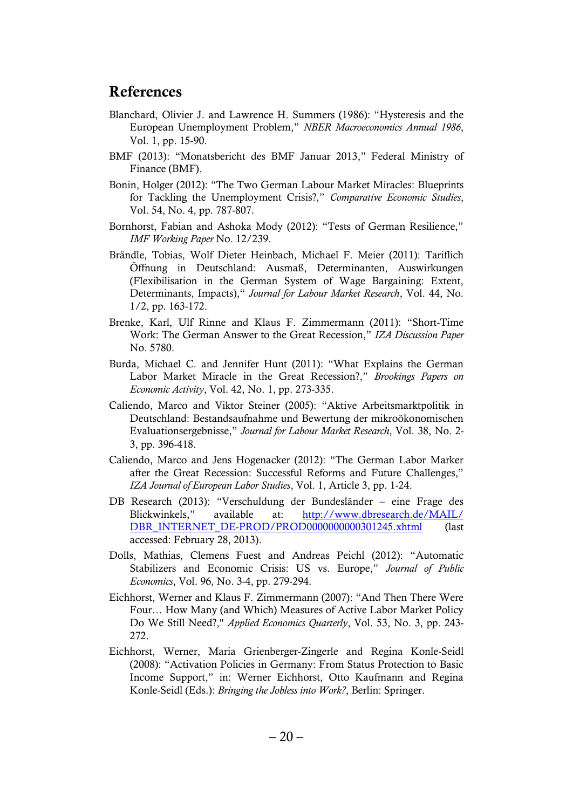# **References**

- Blanchard, Olivier J. and Lawrence H. Summers (1986): "Hysteresis and the European Unemployment Problem," *NBER Macroeconomics Annual 1986*, Vol. 1, pp. 15-90.
- BMF (2013): "Monatsbericht des BMF Januar 2013," Federal Ministry of Finance (BMF).
- Bonin, Holger (2012): "The Two German Labour Market Miracles: Blueprints for Tackling the Unemployment Crisis?," *Comparative Economic Studies*, Vol. 54, No. 4, pp. 787-807.
- Bornhorst, Fabian and Ashoka Mody (2012): "Tests of German Resilience," *IMF Working Paper* No. 12/239.
- Brändle, Tobias, Wolf Dieter Heinbach, Michael F. Meier (2011): Tariflich Öffnung in Deutschland: Ausmaß, Determinanten, Auswirkungen (Flexibilisation in the German System of Wage Bargaining: Extent, Determinants, Impacts)," *Journal for Labour Market Research*, Vol. 44, No. 1/2, pp. 163-172.
- Brenke, Karl, Ulf Rinne and Klaus F. Zimmermann (2011): "Short-Time Work: The German Answer to the Great Recession," IZA Discussion Paper No. 5780.
- Burda, Michael C. and Jennifer Hunt (2011): "What Explains the German Labor Market Miracle in the Great Recession?," *Brookings Papers on Economic Activity*, Vol. 42, No. 1, pp. 273-335.
- Caliendo, Marco and Viktor Steiner (2005): "Aktive Arbeitsmarktpolitik in Deutschland: Bestandsaufnahme und Bewertung der mikroökonomischen Evaluationsergebnisse,‖ *Journal for Labour Market Research*, Vol. 38, No. 2- 3, pp. 396-418.
- Caliendo, Marco and Jens Hogenacker (2012): "The German Labor Marker after the Great Recession: Successful Reforms and Future Challenges," *IZA Journal of European Labor Studies*, Vol. 1, Article 3, pp. 1-24.
- DB Research (2013): "Verschuldung der Bundesländer eine Frage des Blickwinkels,‖ available at: [http://www.dbresearch.de/MAIL/](http://www.dbresearch.de/MAIL/%0bDBR_INTERNET_DE-PROD/PROD0000000000301245.xhtml) DBR\_INTERNET\_DE-PROD/PROD00000000000301245.xhtml (last accessed: February 28, 2013).
- Dolls, Mathias, Clemens Fuest and Andreas Peichl (2012): "Automatic Stabilizers and Economic Crisis: US vs. Europe," Journal of Public *Economics*, Vol. 96, No. 3-4, pp. 279-294.
- Eichhorst, Werner and Klaus F. Zimmermann (2007): "And Then There Were Four… How Many (and Which) Measures of Active Labor Market Policy Do We Still Need?," *Applied Economics Quarterly*, Vol. 53, No. 3, pp. 243- 272.
- Eichhorst, Werner, Maria Grienberger-Zingerle and Regina Konle-Seidl (2008): "Activation Policies in Germany: From Status Protection to Basic Income Support," in: Werner Eichhorst, Otto Kaufmann and Regina Konle-Seidl (Eds.): *Bringing the Jobless into Work?*, Berlin: Springer.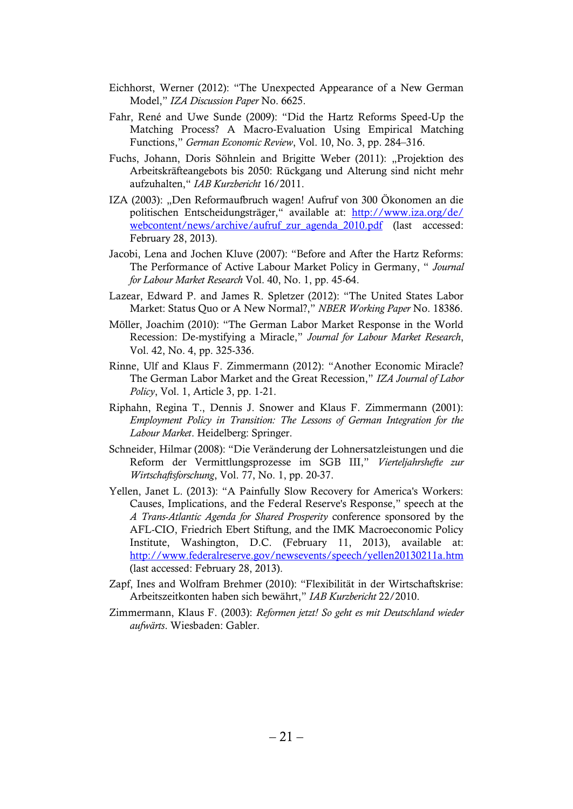- Eichhorst, Werner (2012): "The Unexpected Appearance of a New German Model," *IZA Discussion Paper No. 6625.*
- Fahr, René and Uwe Sunde (2009): "Did the Hartz Reforms Speed-Up the Matching Process? A Macro-Evaluation Using Empirical Matching Functions," *German Economic Review*, Vol. 10, No. 3, pp. 284–316.
- Fuchs, Johann, Doris Söhnlein and Brigitte Weber (2011): "Projektion des Arbeitskräfteangebots bis 2050: Rückgang und Alterung sind nicht mehr aufzuhalten,― *IAB Kurzbericht* 16/2011.
- IZA (2003): "Den Reformaufbruch wagen! Aufruf von 300 Ökonomen an die politischen Entscheidungsträger," available at: [http://www.iza.org/de/](http://www.iza.org/de/%0bwebcontent/news/archive/aufruf_zur_agenda_2010.pdf) [webcontent/news/archive/aufruf\\_zur\\_agenda\\_2010.pdf](http://www.iza.org/de/%0bwebcontent/news/archive/aufruf_zur_agenda_2010.pdf) (last accessed: February 28, 2013).
- Jacobi, Lena and Jochen Kluve (2007): "Before and After the Hartz Reforms: The Performance of Active Labour Market Policy in Germany, " *Journal for Labour Market Research* Vol. 40, No. 1, pp. 45-64.
- Lazear, Edward P. and James R. Spletzer (2012): "The United States Labor Market: Status Quo or A New Normal?," NBER Working Paper No. 18386.
- Möller, Joachim (2010): "The German Labor Market Response in the World Recession: De-mystifying a Miracle," *Journal for Labour Market Research*, Vol. 42, No. 4, pp. 325-336.
- Rinne, Ulf and Klaus F. Zimmermann (2012): "Another Economic Miracle? The German Labor Market and the Great Recession," IZA Journal of Labor *Policy*, Vol. 1, Article 3, pp. 1-21.
- Riphahn, Regina T., Dennis J. Snower and Klaus F. Zimmermann (2001): *Employment Policy in Transition: The Lessons of German Integration for the Labour Market*. Heidelberg: Springer.
- Schneider, Hilmar (2008): "Die Veränderung der Lohnersatzleistungen und die Reform der Vermittlungsprozesse im SGB III," Vierteljahrshefte zur *Wirtschaftsforschung*, Vol. 77, No. 1, pp. 20-37.
- Yellen, Janet L. (2013): "A Painfully Slow Recovery for America's Workers: Causes, Implications, and the Federal Reserve's Response," speech at the *A Trans-Atlantic Agenda for Shared Prosperity* conference sponsored by the AFL-CIO, Friedrich Ebert Stiftung, and the IMK Macroeconomic Policy Institute, Washington, D.C. (February 11, 2013), available at: <http://www.federalreserve.gov/newsevents/speech/yellen20130211a.htm> (last accessed: February 28, 2013).
- Zapf, Ines and Wolfram Brehmer (2010): "Flexibilität in der Wirtschaftskrise: Arbeitszeitkonten haben sich bewährt,‖ *IAB Kurzbericht* 22/2010.
- Zimmermann, Klaus F. (2003): *Reformen jetzt! So geht es mit Deutschland wieder aufwärts*. Wiesbaden: Gabler.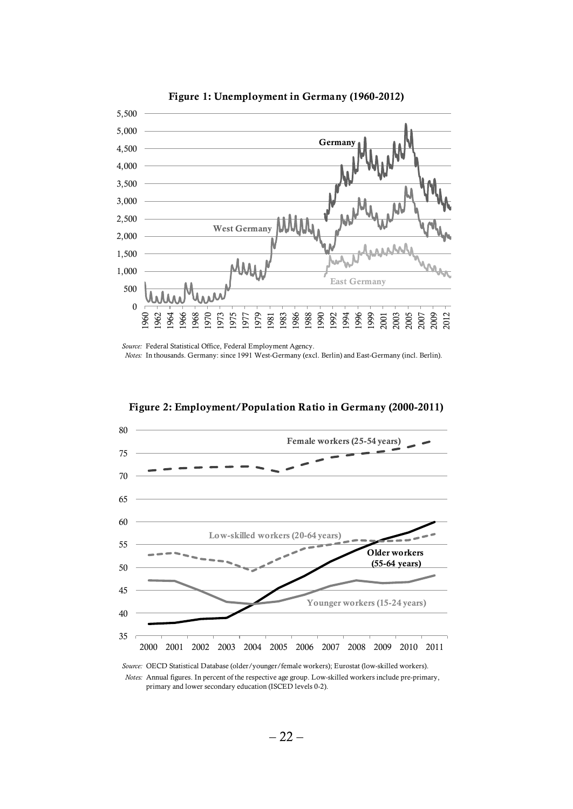

**Figure 1: Unemployment in Germany (1960-2012)**

*Source:* Federal Statistical Office, Federal Employment Agency.



**Figure 2: Employment/Population Ratio in Germany (2000-2011)**

*Notes:* Annual figures. In percent of the respective age group. Low-skilled workers include pre-primary, primary and lower secondary education (ISCED levels 0-2).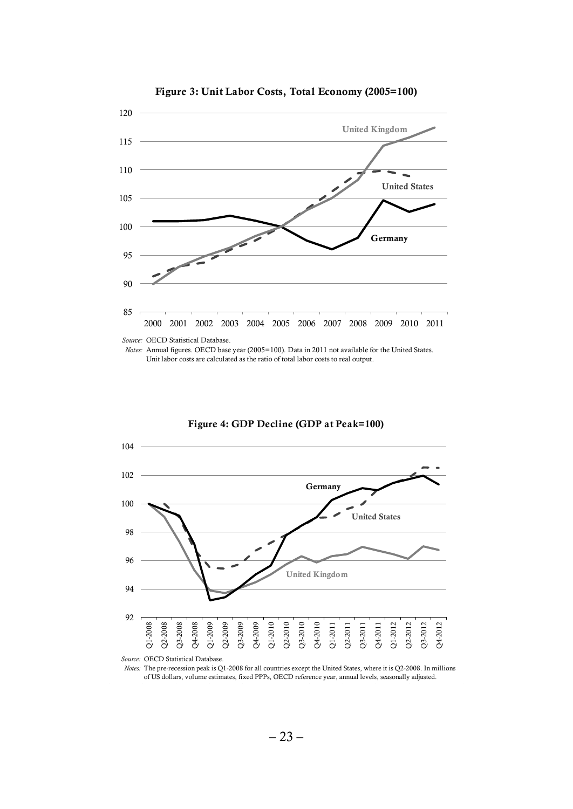

**Figure 3: Unit Labor Costs, Total Economy (2005=100)**

*Notes:* Annual figures. OECD base year (2005=100). Data in 2011 not available for the United States. Unit labor costs are calculated as the ratio of total labor costs to real output.



**Figure 4: GDP Decline (GDP at Peak=100)**

*Notes:* The pre-recession peak is Q1-2008 for all countries except the United States, where it is Q2-2008. In millions of US dollars, volume estimates, fixed PPPs, OECD reference year, annual levels, seasonally adjusted.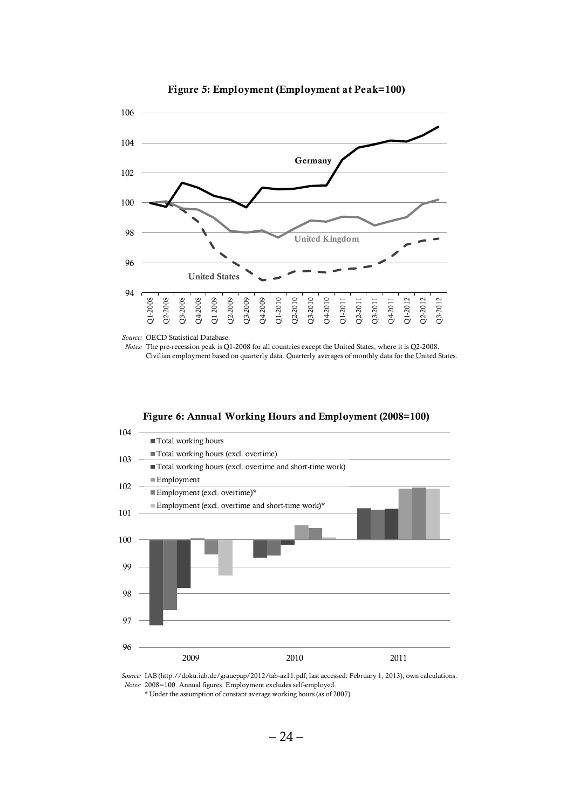

**Figure 5: Employment (Employment at Peak=100)**

*Source:* OECD Statistical Database.

*Notes:* The pre-recession peak is Q1-2008 for all countries except the United States, where it is Q2-2008. Civilian employment based on quarterly data. Quarterly averages of monthly data for the United States.





*Source:* IAB (http://doku.iab.de/grauepap/2012/tab-az11.pdf; last accessed: February 1, 2013), own calculations. *Notes:* 2008=100. Annual figures. Employment excludes self-employed.

\* Under the assumption of constant average working hours (as of 2007).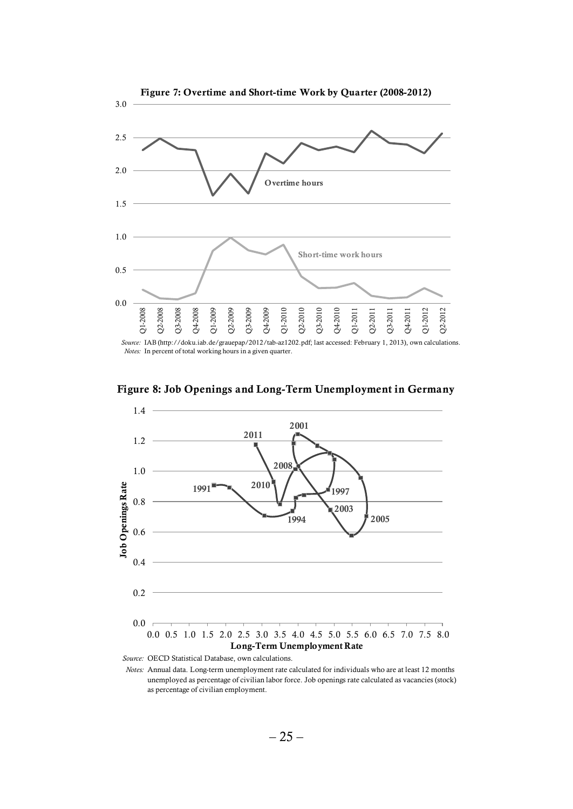

*Source:* IAB (http://doku.iab.de/grauepap/2012/tab-az1202.pdf; last accessed: February 1, 2013), own calculations. *Notes:* In percent of total working hours in a given quarter.





*Source:* OECD Statistical Database, own calculations.

*Notes:* Annual data. Long-term unemployment rate calculated for individuals who are at least 12 months unemployed as percentage of civilian labor force. Job openings rate calculated as vacancies (stock) as percentage of civilian employment.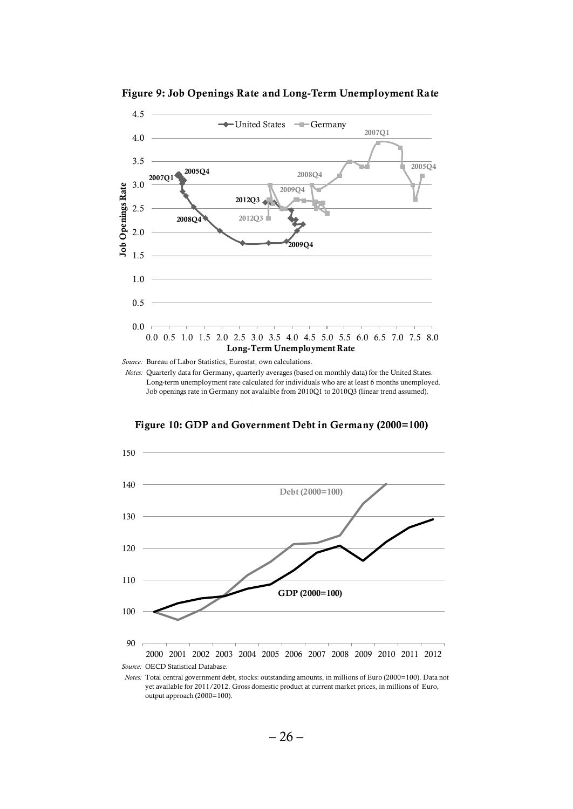

**Figure 9: Job Openings Rate and Long-Term Unemployment Rate**

*Source:* Bureau of Labor Statistics, Eurostat, own calculations.

*Notes:* Quarterly data for Germany, quarterly averages (based on monthly data) for the United States. Long-term unemployment rate calculated for individuals who are at least 6 months unemployed. Job openings rate in Germany not avalaible from 2010Q1 to 2010Q3 (linear trend assumed).

**Figure 10: GDP and Government Debt in Germany (2000=100)**



output approach (2000=100).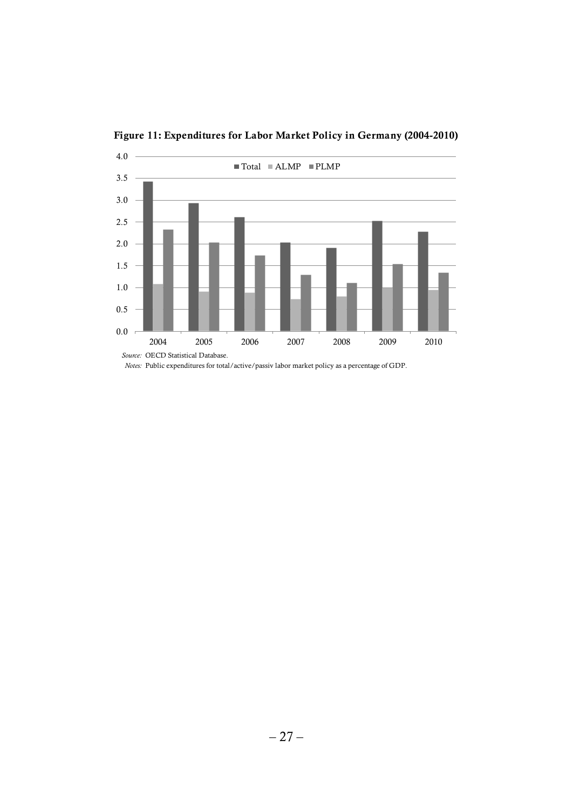

**Figure 11: Expenditures for Labor Market Policy in Germany (2004-2010)**